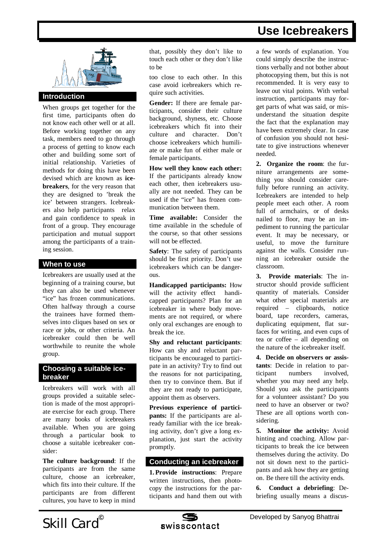# **Use Icebreakers**



# **Introduction**

When groups get together for the first time, participants often do not know each other well or at all. Before working together on any task, members need to go through a process of getting to know each other and building some sort of initial relationship. Varieties of methods for doing this have been devised which are known as **icebreakers**, for the very reason that they are designed to 'break the ice' between strangers. Icebreakers also help participants relax and gain confidence to speak in front of a group. They encourage participation and mutual support among the participants of a training session.

## **When to use**

Icebreakers are usually used at the beginning of a training course, but they can also be used whenever "ice" has frozen communications. Often halfway through a course the trainees have formed themselves into cliques based on sex or race or jobs, or other criteria. An icebreaker could then be well worthwhile to reunite the whole group.

## **Choosing a suitable icebreaker**

Icebreakers will work with all groups provided a suitable selection is made of the most appropriate exercise for each group. There are many books of icebreakers available. When you are going through a particular book to choose a suitable icebreaker consider:

**The culture background**: If the participants are from the same culture, choose an icebreaker, which fits into their culture. If the participants are from different cultures, you have to keep in mind

that, possibly they don't like to touch each other or they don't like to be

too close to each other. In this case avoid icebreakers which require such activities.

**Gender:** If there are female participants, consider their culture background, shyness, etc. Choose icebreakers which fit into their culture and character. Don't choose icebreakers which humiliate or make fun of either male or female participants.

**How well they know each other:** If the participants already know each other, then icebreakers usually are not needed. They can be used if the "ice" has frozen communication between them.

**Time available:** Consider the time available in the schedule of the course, so that other sessions will not be effected.

**Safety**: The safety of participants should be first priority. Don't use icebreakers which can be dangerous.

**Handicapped participants:** How will the activity effect handicapped participants? Plan for an icebreaker in where body movements are not required, or where only oral exchanges are enough to break the ice.

**Shy and reluctant participants**: How can shy and reluctant participants be encouraged to participate in an activity? Try to find out the reasons for not participating, then try to convince them. But if they are not ready to participate, appoint them as observers.

**Previous experience of participants:** If the participants are already familiar with the ice breaking activity, don't give a long explanation, just start the activity promptly.

#### **Conducting an icebreaker**

**1. Provide instructions**: Prepare written instructions, then photocopy the instructions for the participants and hand them out with

a few words of explanation. You could simply describe the instructions verbally and not bother about photocopying them, but this is not recommended. It is very easy to leave out vital points. With verbal instruction, participants may forget parts of what was said, or misunderstand the situation despite the fact that the explanation may have been extremely clear. In case of confusion you should not hesitate to give instructions whenever needed.

**2. Organize the room**: the furniture arrangements are something you should consider carefully before running an activity. Icebreakers are intended to help people meet each other. A room full of armchairs, or of desks nailed to floor, may be an impediment to running the particular event. It may be necessary, or useful, to move the furniture against the walls. Consider running an icebreaker outside the classroom.

**3. Provide materials**: The instructor should provide sufficient quantity of materials. Consider what other special materials are required – clipboards, notice board, tape recorders, cameras, duplicating equipment, flat surfaces for writing, and even cups of tea or coffee – all depending on the nature of the icebreaker itself.

**4. Decide on observers or assistants**: Decide in relation to participant numbers involved, whether you may need any help. Should you ask the participants for a volunteer assistant? Do you need to have an observer or two? These are all options worth considering.

**5. Monitor the activity:** Avoid hinting and coaching. Allow participants to break the ice between themselves during the activity. Do not sit down next to the participants and ask how they are getting on. Be there till the activity ends.

**6. Conduct a debriefing**: Debriefing usually means a discus-